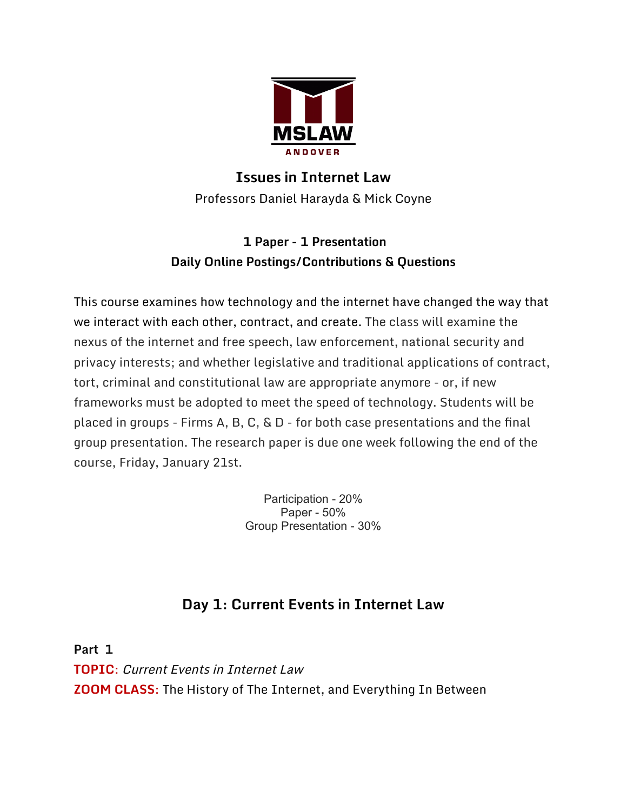

## **Issues in Internet Law** Professors Daniel Harayda & Mick Coyne

### **1 Paper - 1 Presentation Daily Online Postings/Contributions & Questions**

This course examines how technology and the internet have changed the way that we interact with each other, contract, and create. The class will examine the nexus of the internet and free speech, law enforcement, national security and privacy interests; and whether legislative and traditional applications of contract, tort, criminal and constitutional law are appropriate anymore - or, if new frameworks must be adopted to meet the speed of technology. Students will be placed in groups - Firms A, B, C, & D - for both case presentations and the final group presentation. The research paper is due one week following the end of the course, Friday, January 21st.

> Participation - 20% Paper - 50% Group Presentation - 30%

# **Day 1: Current Events in Internet Law**

**Part 1 TOPIC**: Current Events in Internet Law **ZOOM CLASS**: The History of The Internet, and Everything In Between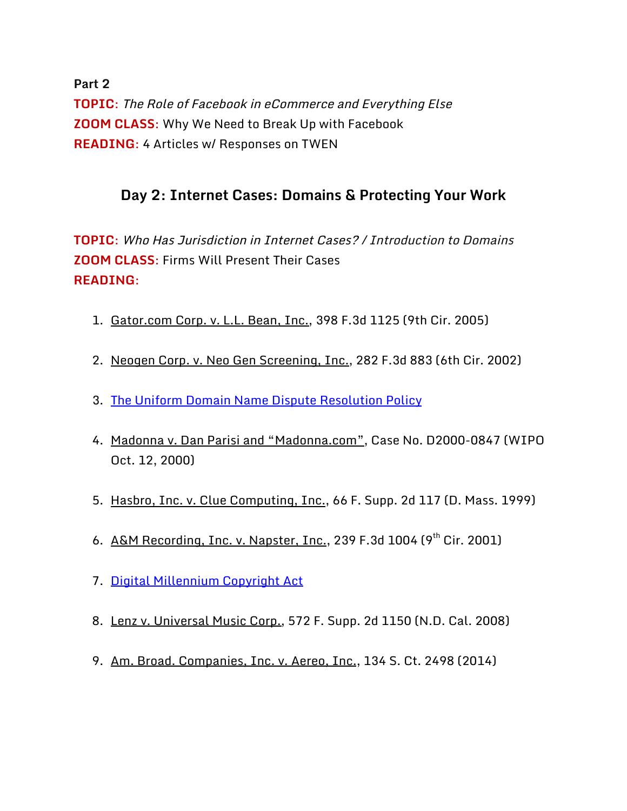**Part 2 TOPIC**: The Role of Facebook in eCommerce and Everything Else **ZOOM CLASS**: Why We Need to Break Up with Facebook **READING**: 4 Articles w/ Responses on TWEN

### **Day 2: Internet Cases: Domains & Protecting Your Work**

**TOPIC**: Who Has Jurisdiction in Internet Cases? / Introduction to Domains **ZOOM CLASS**: Firms Will Present Their Cases **READING**:

- 1. Gator.com Corp. v. L.L. Bean, Inc., 398 F.3d 1125 (9th Cir. 2005)
- 2. Neogen Corp. v. Neo Gen Screening, Inc., 282 F.3d 883 (6th Cir. 2002)
- 3. [The Uniform Domain Name Dispute Resolution Policy](https://www.icann.org/resources/pages/policy-2012-02-25-en)
- 4. Madonna v. Dan Parisi and "Madonna.com", Case No. D2000-0847 (WIPO Oct. 12, 2000)
- 5. Hasbro, Inc. v. Clue Computing, Inc., 66 F. Supp. 2d 117 (D. Mass. 1999)
- 6. A&M Recording, Inc. v. Napster, Inc., 239 F.3d 1004 (9<sup>th</sup> Cir. 2001)
- 7. [Digital Millennium Copyright Act](http://www.copyright.gov/legislation/dmca.pdf)
- 8. Lenz v. Universal Music Corp., 572 F. Supp. 2d 1150 (N.D. Cal. 2008)
- 9. Am. Broad. Companies, Inc. v. Aereo, Inc., 134 S. Ct. 2498 (2014)